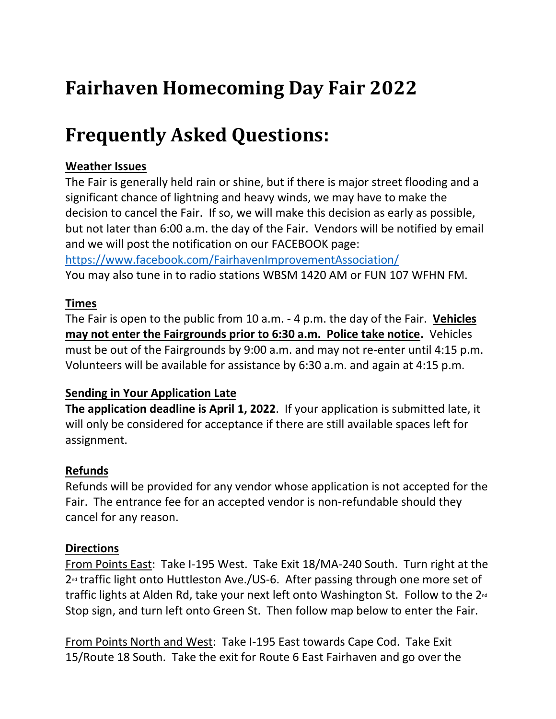# **Fairhaven Homecoming Day Fair 2022**

# **Frequently Asked Questions:**

## **Weather Issues**

The Fair is generally held rain or shine, but if there is major street flooding and a significant chance of lightning and heavy winds, we may have to make the decision to cancel the Fair. If so, we will make this decision as early as possible, but not later than 6:00 a.m. the day of the Fair. Vendors will be notified by email and we will post the notification on our FACEBOOK page: <https://www.facebook.com/FairhavenImprovementAssociation/>

You may also tune in to radio stations WBSM 1420 AM or FUN 107 WFHN FM.

# **Times**

The Fair is open to the public from 10 a.m. - 4 p.m. the day of the Fair. **Vehicles may not enter the Fairgrounds prior to 6:30 a.m. Police take notice.** Vehicles must be out of the Fairgrounds by 9:00 a.m. and may not re-enter until 4:15 p.m. Volunteers will be available for assistance by 6:30 a.m. and again at 4:15 p.m.

# **Sending in Your Application Late**

**The application deadline is April 1, 2022**. If your application is submitted late, it will only be considered for acceptance if there are still available spaces left for assignment.

# **Refunds**

Refunds will be provided for any vendor whose application is not accepted for the Fair. The entrance fee for an accepted vendor is non-refundable should they cancel for any reason.

# **Directions**

From Points East: Take I-195 West. Take Exit 18/MA-240 South. Turn right at the  $2<sup>nd</sup>$  traffic light onto Huttleston Ave./US-6. After passing through one more set of traffic lights at Alden Rd, take your next left onto Washington St. Follow to the  $2<sup>nd</sup>$ Stop sign, and turn left onto Green St. Then follow map below to enter the Fair.

From Points North and West: Take I-195 East towards Cape Cod. Take Exit 15/Route 18 South. Take the exit for Route 6 East Fairhaven and go over the